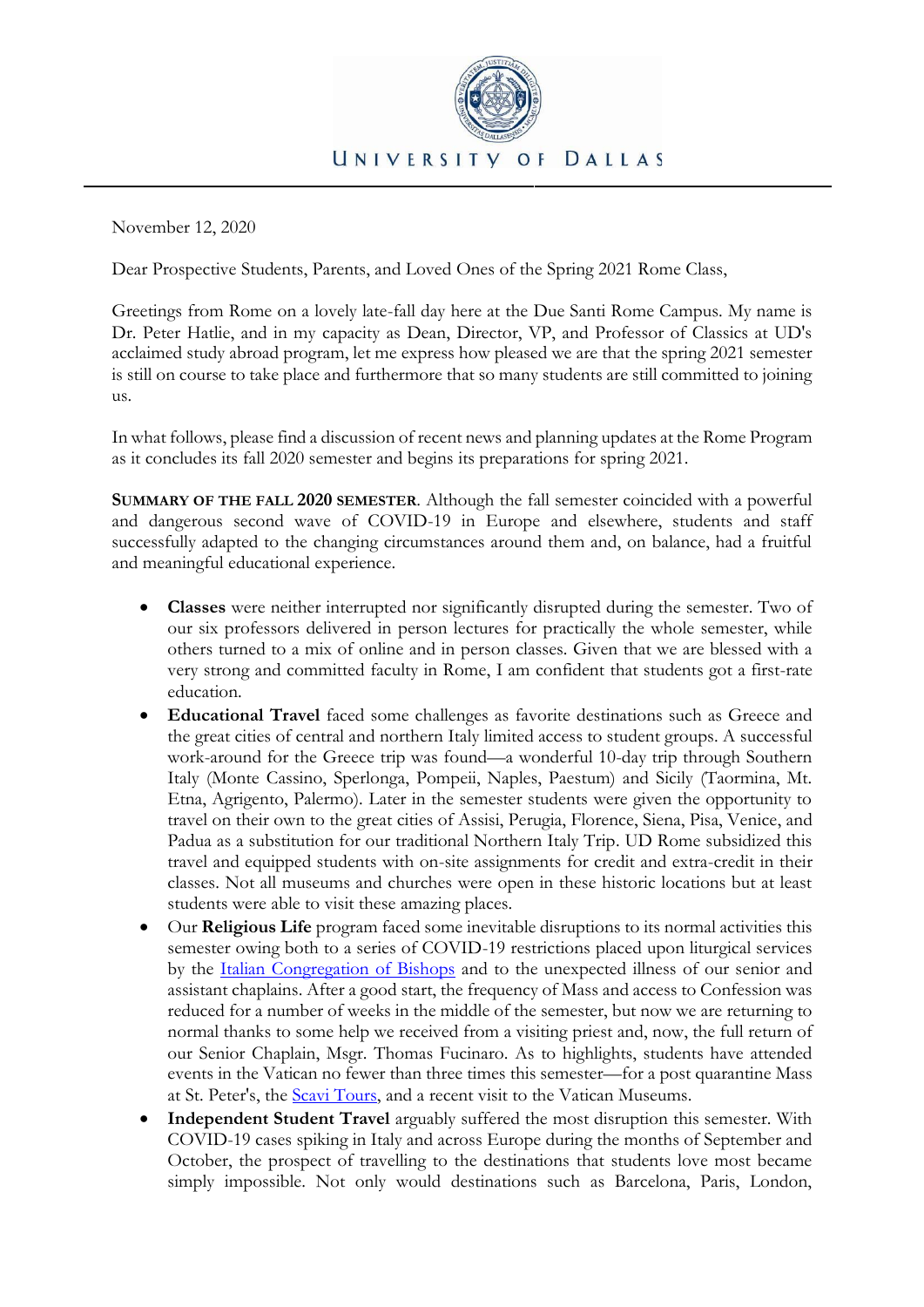

November 12, 2020

Dear Prospective Students, Parents, and Loved Ones of the Spring 2021 Rome Class,

Greetings from Rome on a lovely late-fall day here at the Due Santi Rome Campus. My name is Dr. Peter Hatlie, and in my capacity as Dean, Director, VP, and Professor of Classics at UD's acclaimed study abroad program, let me express how pleased we are that the spring 2021 semester is still on course to take place and furthermore that so many students are still committed to joining us.

In what follows, please find a discussion of recent news and planning updates at the Rome Program as it concludes its fall 2020 semester and begins its preparations for spring 2021.

**SUMMARY OF THE FALL 2020 SEMESTER**. Although the fall semester coincided with a powerful and dangerous second wave of COVID-19 in Europe and elsewhere, students and staff successfully adapted to the changing circumstances around them and, on balance, had a fruitful and meaningful educational experience.

- **Classes** were neither interrupted nor significantly disrupted during the semester. Two of our six professors delivered in person lectures for practically the whole semester, while others turned to a mix of online and in person classes. Given that we are blessed with a very strong and committed faculty in Rome, I am confident that students got a first-rate education.
- **Educational Travel** faced some challenges as favorite destinations such as Greece and the great cities of central and northern Italy limited access to student groups. A successful work-around for the Greece trip was found—a wonderful 10-day trip through Southern Italy (Monte Cassino, Sperlonga, Pompeii, Naples, Paestum) and Sicily (Taormina, Mt. Etna, Agrigento, Palermo). Later in the semester students were given the opportunity to travel on their own to the great cities of Assisi, Perugia, Florence, Siena, Pisa, Venice, and Padua as a substitution for our traditional Northern Italy Trip. UD Rome subsidized this travel and equipped students with on-site assignments for credit and extra-credit in their classes. Not all museums and churches were open in these historic locations but at least students were able to visit these amazing places.
- Our **Religious Life** program faced some inevitable disruptions to its normal activities this semester owing both to a series of COVID-19 restrictions placed upon liturgical services by the [Italian Congregation of Bishops](https://www.chiesacattolica.it/) and to the unexpected illness of our senior and assistant chaplains. After a good start, the frequency of Mass and access to Confession was reduced for a number of weeks in the middle of the semester, but now we are returning to normal thanks to some help we received from a visiting priest and, now, the full return of our Senior Chaplain, Msgr. Thomas Fucinaro. As to highlights, students have attended events in the Vatican no fewer than three times this semester—for a post quarantine Mass at St. Peter's, the [Scavi Tours,](https://en.wikipedia.org/wiki/Vatican_Necropolis) and a recent visit to the Vatican Museums.
- **Independent Student Travel** arguably suffered the most disruption this semester. With COVID-19 cases spiking in Italy and across Europe during the months of September and October, the prospect of travelling to the destinations that students love most became simply impossible. Not only would destinations such as Barcelona, Paris, London,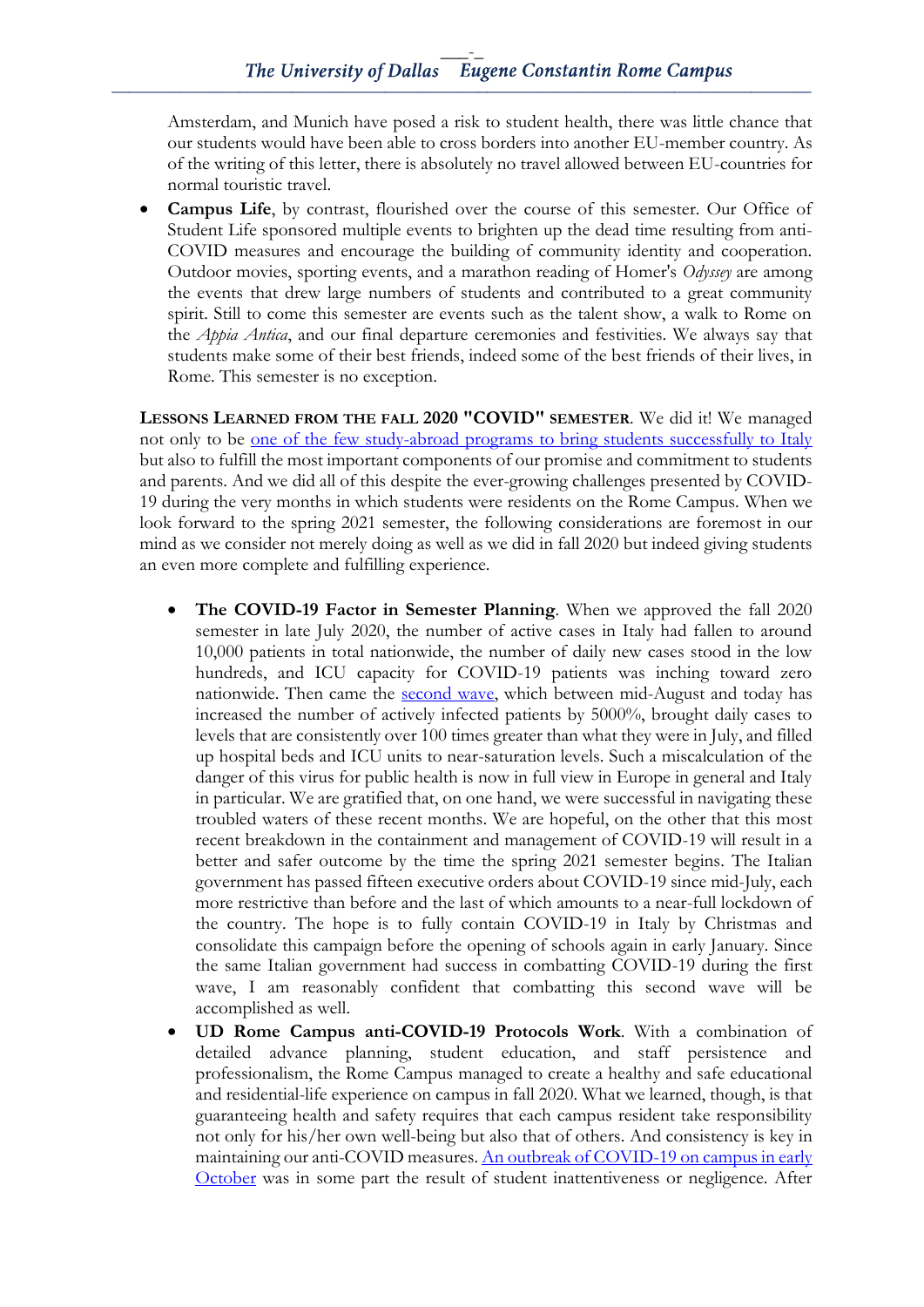Amsterdam, and Munich have posed a risk to student health, there was little chance that our students would have been able to cross borders into another EU-member country. As of the writing of this letter, there is absolutely no travel allowed between EU-countries for normal touristic travel.

**Campus Life**, by contrast, flourished over the course of this semester. Our Office of Student Life sponsored multiple events to brighten up the dead time resulting from anti-COVID measures and encourage the building of community identity and cooperation. Outdoor movies, sporting events, and a marathon reading of Homer's *Odyssey* are among the events that drew large numbers of students and contributed to a great community spirit. Still to come this semester are events such as the talent show, a walk to Rome on the *Appia Antica*, and our final departure ceremonies and festivities. We always say that students make some of their best friends, indeed some of the best friends of their lives, in Rome. This semester is no exception.

**LESSONS LEARNED FROM THE FALL 2020 "COVID" SEMESTER**. We did it! We managed not only to be [one of the few study-abroad programs to bring students successfully to Italy](https://www.facebook.com/watch/?v=340144790431481) but also to fulfill the most important components of our promise and commitment to students and parents. And we did all of this despite the ever-growing challenges presented by COVID-19 during the very months in which students were residents on the Rome Campus. When we look forward to the spring 2021 semester, the following considerations are foremost in our mind as we consider not merely doing as well as we did in fall 2020 but indeed giving students an even more complete and fulfilling experience.

- **The COVID-19 Factor in Semester Planning**. When we approved the fall 2020 semester in late July 2020, the number of active cases in Italy had fallen to around 10,000 patients in total nationwide, the number of daily new cases stood in the low hundreds, and ICU capacity for COVID-19 patients was inching toward zero nationwide. Then came the [second wave,](https://www.worldometers.info/coronavirus/country/italy/) which between mid-August and today has increased the number of actively infected patients by 5000%, brought daily cases to levels that are consistently over 100 times greater than what they were in July, and filled up hospital beds and ICU units to near-saturation levels. Such a miscalculation of the danger of this virus for public health is now in full view in Europe in general and Italy in particular. We are gratified that, on one hand, we were successful in navigating these troubled waters of these recent months. We are hopeful, on the other that this most recent breakdown in the containment and management of COVID-19 will result in a better and safer outcome by the time the spring 2021 semester begins. The Italian government has passed fifteen executive orders about COVID-19 since mid-July, each more restrictive than before and the last of which amounts to a near-full lockdown of the country. The hope is to fully contain COVID-19 in Italy by Christmas and consolidate this campaign before the opening of schools again in early January. Since the same Italian government had success in combatting COVID-19 during the first wave, I am reasonably confident that combatting this second wave will be accomplished as well.
- **UD Rome Campus anti-COVID-19 Protocols Work**. With a combination of detailed advance planning, student education, and staff persistence and professionalism, the Rome Campus managed to create a healthy and safe educational and residential-life experience on campus in fall 2020. What we learned, though, is that guaranteeing health and safety requires that each campus resident take responsibility not only for his/her own well-being but also that of others. And consistency is key in maintaining our anti-COVID measures[. An outbreak of COVID-19 on campus in early](http://udallasnews.com/2020/10/20/rome-covid-19-test-results-incorrect/)  [October](http://udallasnews.com/2020/10/20/rome-covid-19-test-results-incorrect/) was in some part the result of student inattentiveness or negligence. After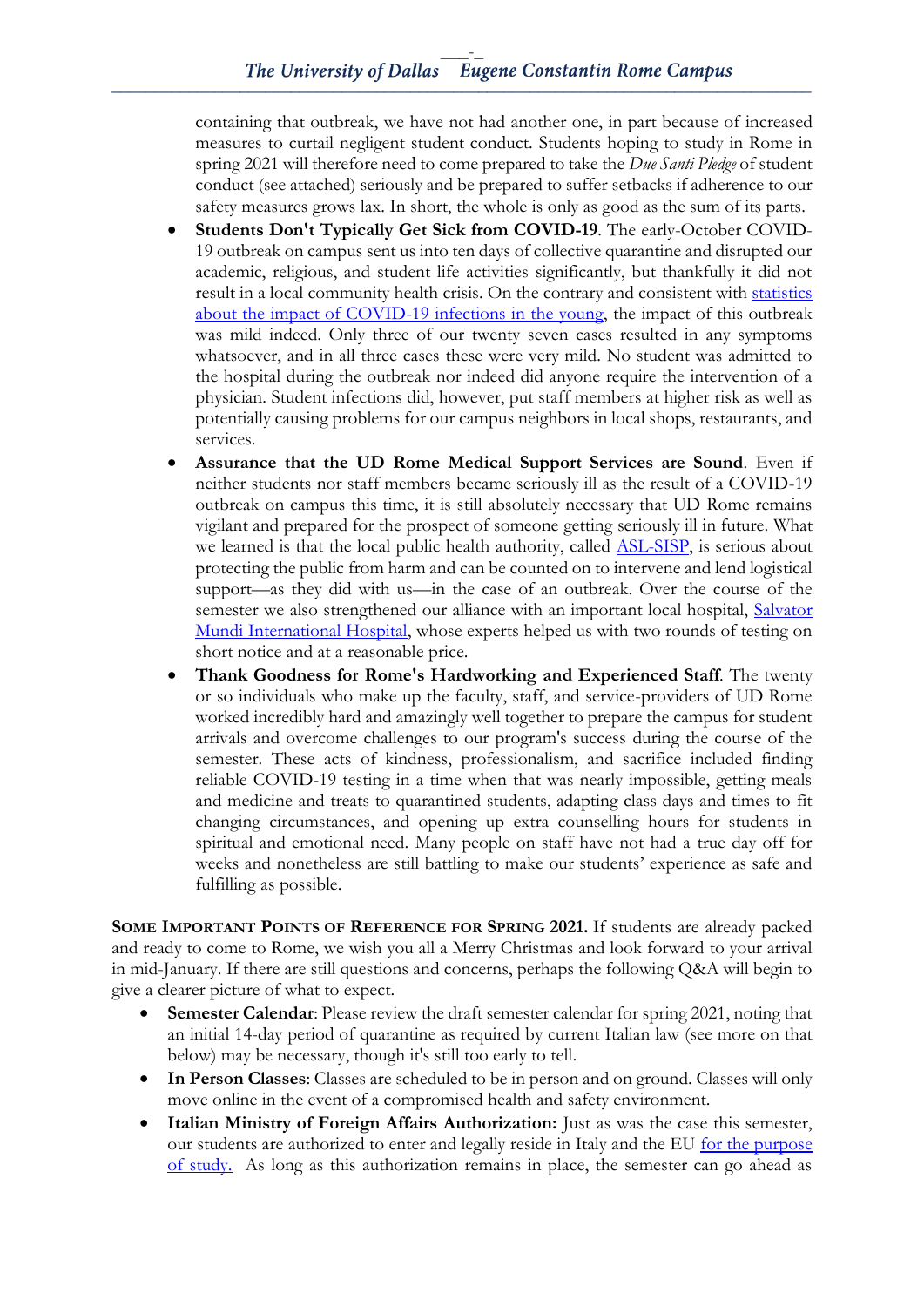containing that outbreak, we have not had another one, in part because of increased measures to curtail negligent student conduct. Students hoping to study in Rome in spring 2021 will therefore need to come prepared to take the *Due Santi Pledge* of student conduct (see attached) seriously and be prepared to suffer setbacks if adherence to our safety measures grows lax. In short, the whole is only as good as the sum of its parts.

- **Students Don't Typically Get Sick from COVID-19**. The early-October COVID-19 outbreak on campus sent us into ten days of collective quarantine and disrupted our academic, religious, and student life activities significantly, but thankfully it did not result in a local community health crisis. On the contrary and consistent with [statistics](https://www.cdc.gov/coronavirus/2019-ncov/covid-data/investigations-discovery/hospitalization-death-by-age.html)  [about the impact of COVID-19 infections in the young,](https://www.cdc.gov/coronavirus/2019-ncov/covid-data/investigations-discovery/hospitalization-death-by-age.html) the impact of this outbreak was mild indeed. Only three of our twenty seven cases resulted in any symptoms whatsoever, and in all three cases these were very mild. No student was admitted to the hospital during the outbreak nor indeed did anyone require the intervention of a physician. Student infections did, however, put staff members at higher risk as well as potentially causing problems for our campus neighbors in local shops, restaurants, and services.
- **Assurance that the UD Rome Medical Support Services are Sound**. Even if neither students nor staff members became seriously ill as the result of a COVID-19 outbreak on campus this time, it is still absolutely necessary that UD Rome remains vigilant and prepared for the prospect of someone getting seriously ill in future. What we learned is that the local public health authority, called **ASL-SISP**, is serious about protecting the public from harm and can be counted on to intervene and lend logistical support—as they did with us—in the case of an outbreak. Over the course of the semester we also strengthened our alliance with an important local hospital, Salvator [Mundi International Hospital,](http://salvatormundi.com/) whose experts helped us with two rounds of testing on short notice and at a reasonable price.
- **Thank Goodness for Rome's Hardworking and Experienced Staff**. The twenty or so individuals who make up the faculty, staff, and service-providers of UD Rome worked incredibly hard and amazingly well together to prepare the campus for student arrivals and overcome challenges to our program's success during the course of the semester. These acts of kindness, professionalism, and sacrifice included finding reliable COVID-19 testing in a time when that was nearly impossible, getting meals and medicine and treats to quarantined students, adapting class days and times to fit changing circumstances, and opening up extra counselling hours for students in spiritual and emotional need. Many people on staff have not had a true day off for weeks and nonetheless are still battling to make our students' experience as safe and fulfilling as possible.

**SOME IMPORTANT POINTS OF REFERENCE FOR SPRING 2021.** If students are already packed and ready to come to Rome, we wish you all a Merry Christmas and look forward to your arrival in mid-January. If there are still questions and concerns, perhaps the following Q&A will begin to give a clearer picture of what to expect.

- **Semester Calendar**: Please review the draft semester calendar for spring 2021, noting that an initial 14-day period of quarantine as required by current Italian law (see more on that below) may be necessary, though it's still too early to tell.
- **In Person Classes**: Classes are scheduled to be in person and on ground. Classes will only move online in the event of a compromised health and safety environment.
- **Italian Ministry of Foreign Affairs Authorization:** Just as was the case this semester, our students are authorized to enter and legally reside in Italy and the EU [for the purpose](http://www.viaggiaresicuri.it/approfondimenti-insights/saluteinviaggio)  [of study.](http://www.viaggiaresicuri.it/approfondimenti-insights/saluteinviaggio) As long as this authorization remains in place, the semester can go ahead as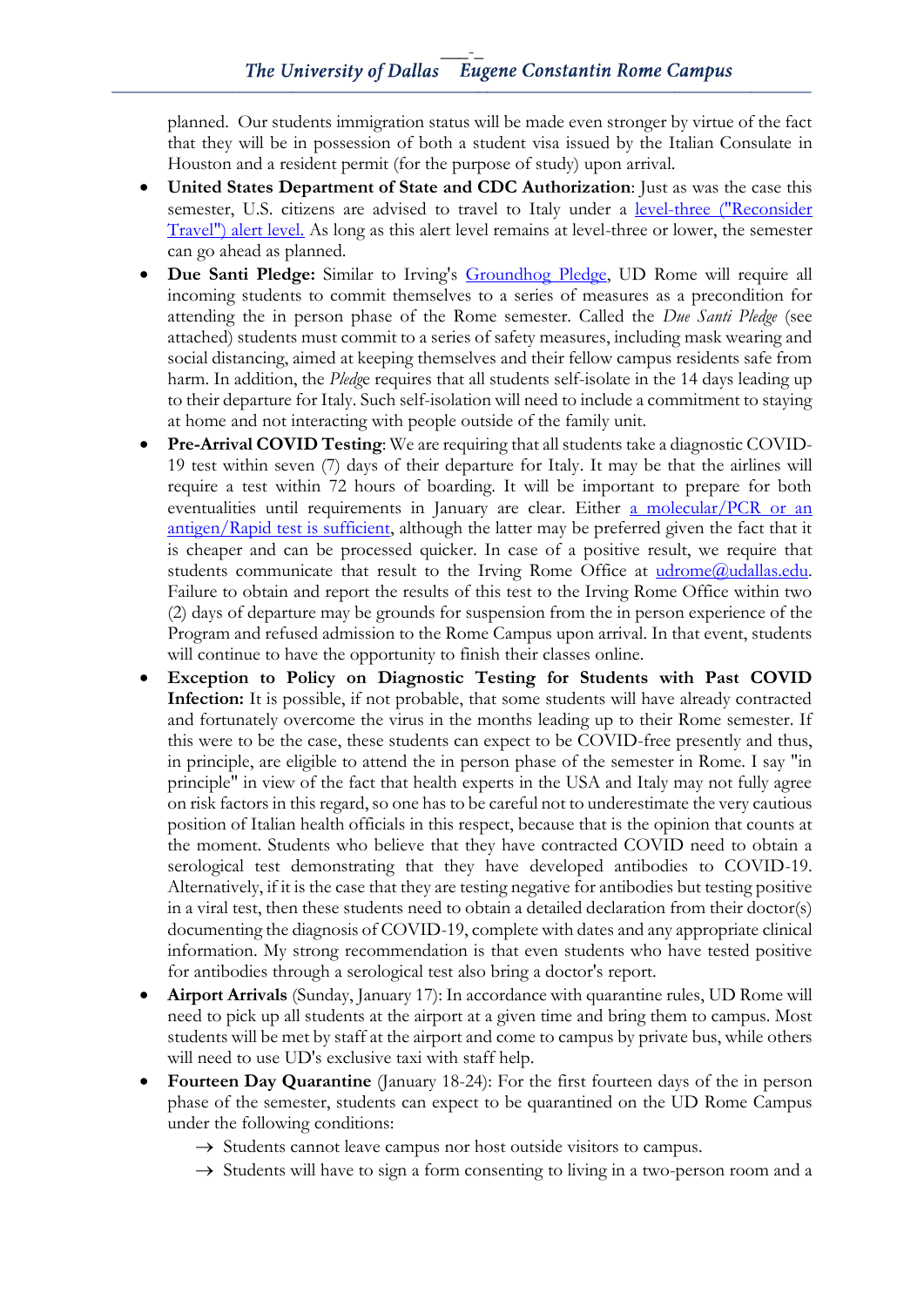planned. Our students immigration status will be made even stronger by virtue of the fact that they will be in possession of both a student visa issued by the Italian Consulate in Houston and a resident permit (for the purpose of study) upon arrival.

- **United States Department of State and CDC Authorization**: Just as was the case this semester, U.S. citizens are advised to travel to Italy under a [level-three \("Reconsider](https://travel.state.gov/content/travel/en/traveladvisories/traveladvisories/italy-travel-advisory.html)  [Travel"\) alert level.](https://travel.state.gov/content/travel/en/traveladvisories/traveladvisories/italy-travel-advisory.html) As long as this alert level remains at level-three or lower, the semester can go ahead as planned.
- **Due Santi Pledge:** Similar to Irving's [Groundhog](https://www.udallas.edu/coronavirus/campus-reopening/index.php) Pledge, UD Rome will require all incoming students to commit themselves to a series of measures as a precondition for attending the in person phase of the Rome semester. Called the *Due Santi Pledge* (see attached) students must commit to a series of safety measures, including mask wearing and social distancing, aimed at keeping themselves and their fellow campus residents safe from harm. In addition, the *Pledg*e requires that all students self-isolate in the 14 days leading up to their departure for Italy. Such self-isolation will need to include a commitment to staying at home and not interacting with people outside of the family unit.
- **Pre-Arrival COVID Testing**: We are requiring that all students take a diagnostic COVID-19 test within seven (7) days of their departure for Italy. It may be that the airlines will require a test within 72 hours of boarding. It will be important to prepare for both eventualities until requirements in January are clear. Either [a molecular/PCR or an](https://www.fda.gov/consumers/consumer-updates/coronavirus-disease-2019-testing-basics) [antigen/Rapid test is sufficient,](https://www.fda.gov/consumers/consumer-updates/coronavirus-disease-2019-testing-basics) although the latter may be preferred given the fact that it is cheaper and can be processed quicker. In case of a positive result, we require that students communicate that result to the Irving Rome Office at  $udrome@uidallas.edu.$ </u> Failure to obtain and report the results of this test to the Irving Rome Office within two (2) days of departure may be grounds for suspension from the in person experience of the Program and refused admission to the Rome Campus upon arrival. In that event, students will continue to have the opportunity to finish their classes online.
- **Exception to Policy on Diagnostic Testing for Students with Past COVID Infection:** It is possible, if not probable, that some students will have already contracted and fortunately overcome the virus in the months leading up to their Rome semester. If this were to be the case, these students can expect to be COVID-free presently and thus, in principle, are eligible to attend the in person phase of the semester in Rome. I say "in principle" in view of the fact that health experts in the USA and Italy may not fully agree on risk factors in this regard, so one has to be careful not to underestimate the very cautious position of Italian health officials in this respect, because that is the opinion that counts at the moment. Students who believe that they have contracted COVID need to obtain a serological test demonstrating that they have developed antibodies to COVID-19. Alternatively, if it is the case that they are testing negative for antibodies but testing positive in a viral test, then these students need to obtain a detailed declaration from their doctor(s) documenting the diagnosis of COVID-19, complete with dates and any appropriate clinical information. My strong recommendation is that even students who have tested positive for antibodies through a serological test also bring a doctor's report.
- **Airport Arrivals** (Sunday, January 17): In accordance with quarantine rules, UD Rome will need to pick up all students at the airport at a given time and bring them to campus. Most students will be met by staff at the airport and come to campus by private bus, while others will need to use UD's exclusive taxi with staff help.
- **Fourteen Day Quarantine** (January 18-24): For the first fourteen days of the in person phase of the semester, students can expect to be quarantined on the UD Rome Campus under the following conditions:
	- $\rightarrow$  Students cannot leave campus nor host outside visitors to campus.
	- $\rightarrow$  Students will have to sign a form consenting to living in a two-person room and a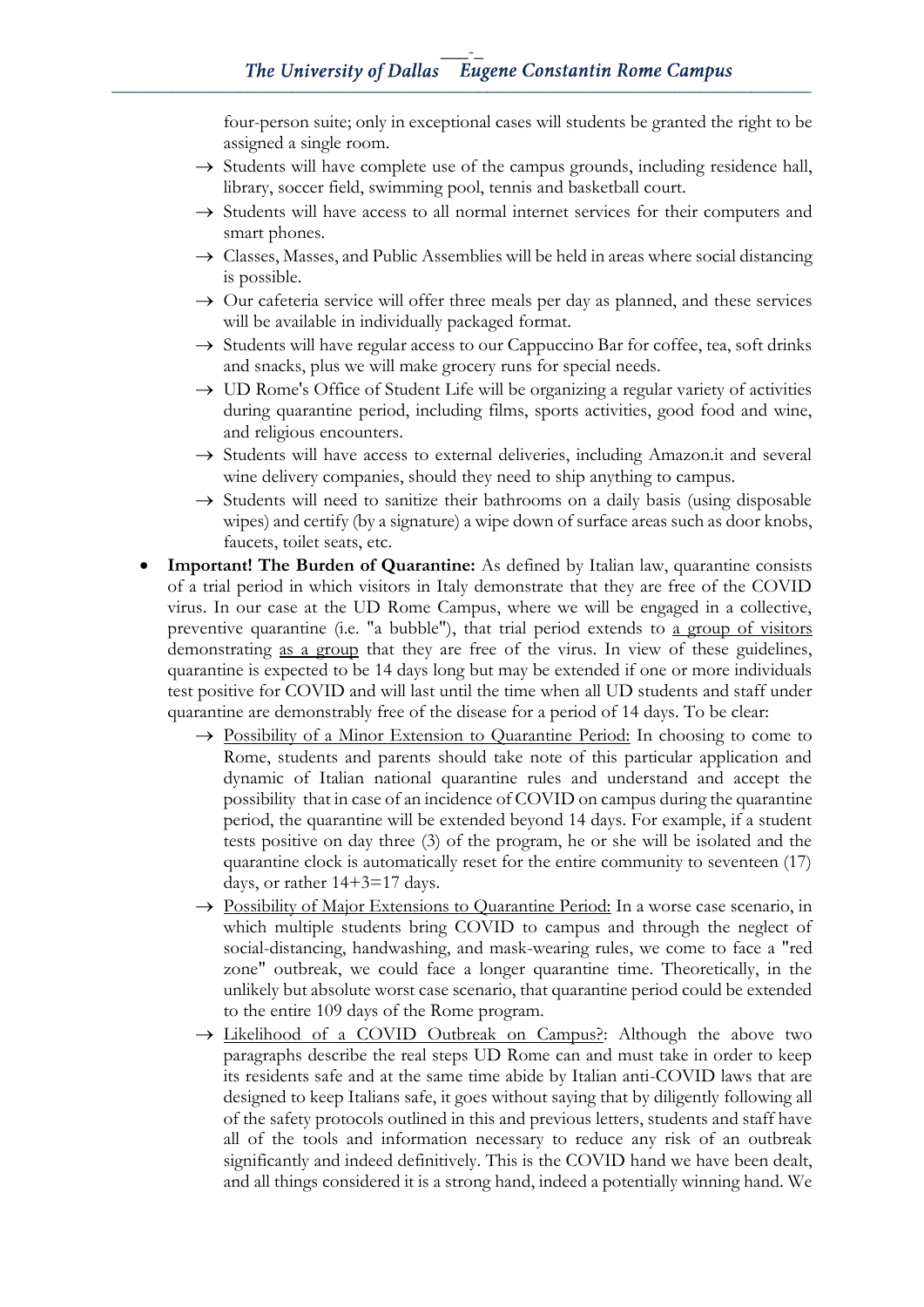four-person suite; only in exceptional cases will students be granted the right to be assigned a single room.

- $\rightarrow$  Students will have complete use of the campus grounds, including residence hall, library, soccer field, swimming pool, tennis and basketball court.
- → Students will have access to all normal internet services for their computers and smart phones.
- $\rightarrow$  Classes, Masses, and Public Assemblies will be held in areas where social distancing is possible.
- $\rightarrow$  Our cafeteria service will offer three meals per day as planned, and these services will be available in individually packaged format.
- $\rightarrow$  Students will have regular access to our Cappuccino Bar for coffee, tea, soft drinks and snacks, plus we will make grocery runs for special needs.
- $\rightarrow$  UD Rome's Office of Student Life will be organizing a regular variety of activities during quarantine period, including films, sports activities, good food and wine, and religious encounters.
- → Students will have access to external deliveries, including Amazon.it and several wine delivery companies, should they need to ship anything to campus.
- $\rightarrow$  Students will need to sanitize their bathrooms on a daily basis (using disposable wipes) and certify (by a signature) a wipe down of surface areas such as door knobs, faucets, toilet seats, etc.
- **Important! The Burden of Quarantine:** As defined by Italian law, quarantine consists of a trial period in which visitors in Italy demonstrate that they are free of the COVID virus. In our case at the UD Rome Campus, where we will be engaged in a collective, preventive quarantine (i.e. "a bubble"), that trial period extends to a group of visitors demonstrating as a group that they are free of the virus. In view of these guidelines, quarantine is expected to be 14 days long but may be extended if one or more individuals test positive for COVID and will last until the time when all UD students and staff under quarantine are demonstrably free of the disease for a period of 14 days. To be clear:
	- $\rightarrow$  Possibility of a Minor Extension to Quarantine Period: In choosing to come to Rome, students and parents should take note of this particular application and dynamic of Italian national quarantine rules and understand and accept the possibility that in case of an incidence of COVID on campus during the quarantine period, the quarantine will be extended beyond 14 days. For example, if a student tests positive on day three (3) of the program, he or she will be isolated and the quarantine clock is automatically reset for the entire community to seventeen (17) days, or rather 14+3=17 days.
	- → Possibility of Major Extensions to Quarantine Period: In a worse case scenario, in which multiple students bring COVID to campus and through the neglect of social-distancing, handwashing, and mask-wearing rules, we come to face a "red zone" outbreak, we could face a longer quarantine time. Theoretically, in the unlikely but absolute worst case scenario, that quarantine period could be extended to the entire 109 days of the Rome program.
	- → Likelihood of a COVID Outbreak on Campus?: Although the above two paragraphs describe the real steps UD Rome can and must take in order to keep its residents safe and at the same time abide by Italian anti-COVID laws that are designed to keep Italians safe, it goes without saying that by diligently following all of the safety protocols outlined in this and previous letters, students and staff have all of the tools and information necessary to reduce any risk of an outbreak significantly and indeed definitively. This is the COVID hand we have been dealt, and all things considered it is a strong hand, indeed a potentially winning hand. We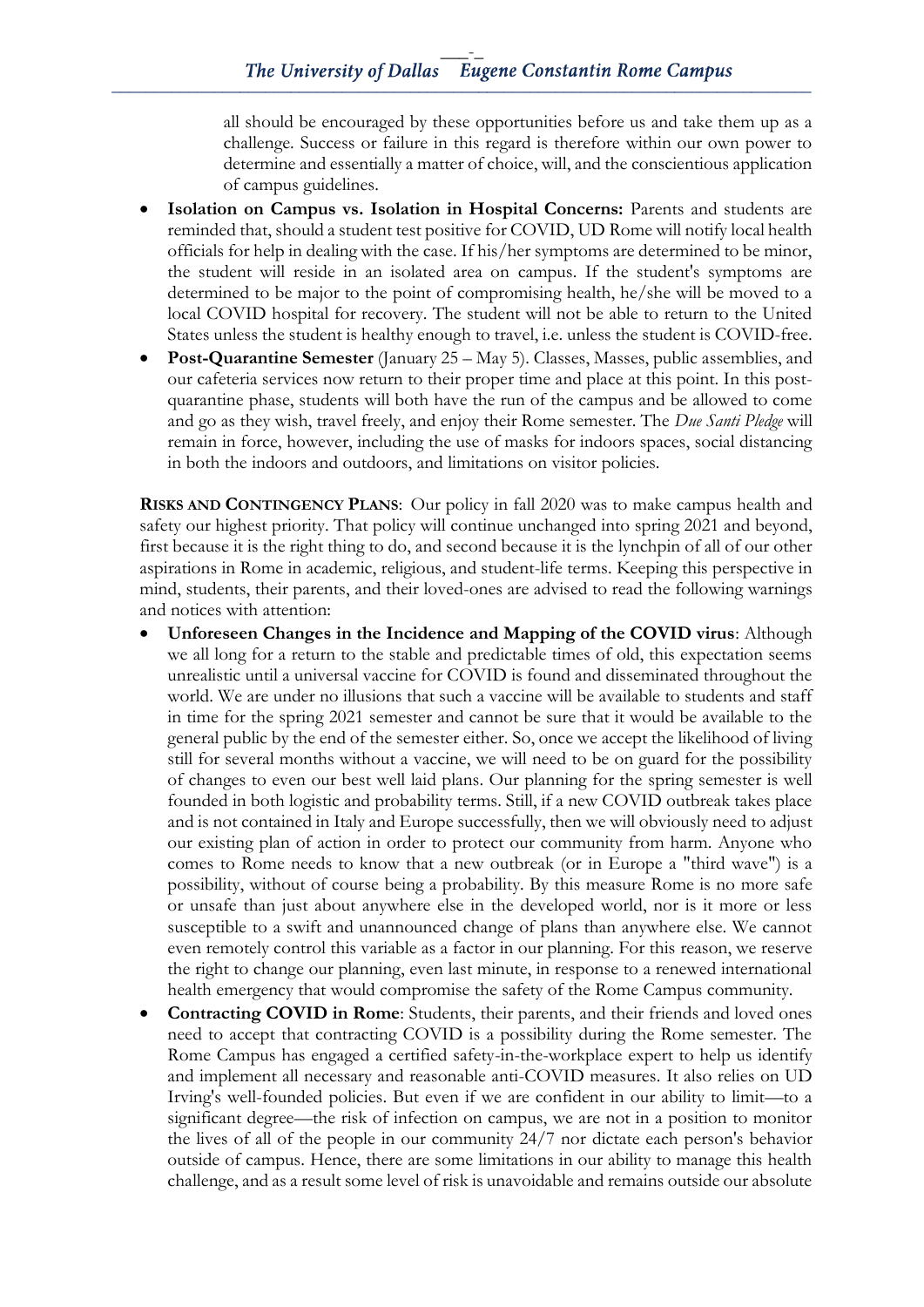all should be encouraged by these opportunities before us and take them up as a challenge. Success or failure in this regard is therefore within our own power to determine and essentially a matter of choice, will, and the conscientious application of campus guidelines.

- **Isolation on Campus vs. Isolation in Hospital Concerns:** Parents and students are reminded that, should a student test positive for COVID, UD Rome will notify local health officials for help in dealing with the case. If his/her symptoms are determined to be minor, the student will reside in an isolated area on campus. If the student's symptoms are determined to be major to the point of compromising health, he/she will be moved to a local COVID hospital for recovery. The student will not be able to return to the United States unless the student is healthy enough to travel, i.e. unless the student is COVID-free.
- **Post-Quarantine Semester** (January 25 May 5). Classes, Masses, public assemblies, and our cafeteria services now return to their proper time and place at this point. In this postquarantine phase, students will both have the run of the campus and be allowed to come and go as they wish, travel freely, and enjoy their Rome semester. The *Due Santi Pledge* will remain in force, however, including the use of masks for indoors spaces, social distancing in both the indoors and outdoors, and limitations on visitor policies.

**RISKS AND CONTINGENCY PLANS**: Our policy in fall 2020 was to make campus health and safety our highest priority. That policy will continue unchanged into spring 2021 and beyond, first because it is the right thing to do, and second because it is the lynchpin of all of our other aspirations in Rome in academic, religious, and student-life terms. Keeping this perspective in mind, students, their parents, and their loved-ones are advised to read the following warnings and notices with attention:

- **Unforeseen Changes in the Incidence and Mapping of the COVID virus**: Although we all long for a return to the stable and predictable times of old, this expectation seems unrealistic until a universal vaccine for COVID is found and disseminated throughout the world. We are under no illusions that such a vaccine will be available to students and staff in time for the spring 2021 semester and cannot be sure that it would be available to the general public by the end of the semester either. So, once we accept the likelihood of living still for several months without a vaccine, we will need to be on guard for the possibility of changes to even our best well laid plans. Our planning for the spring semester is well founded in both logistic and probability terms. Still, if a new COVID outbreak takes place and is not contained in Italy and Europe successfully, then we will obviously need to adjust our existing plan of action in order to protect our community from harm. Anyone who comes to Rome needs to know that a new outbreak (or in Europe a "third wave") is a possibility, without of course being a probability. By this measure Rome is no more safe or unsafe than just about anywhere else in the developed world, nor is it more or less susceptible to a swift and unannounced change of plans than anywhere else. We cannot even remotely control this variable as a factor in our planning. For this reason, we reserve the right to change our planning, even last minute, in response to a renewed international health emergency that would compromise the safety of the Rome Campus community.
- **Contracting COVID in Rome**: Students, their parents, and their friends and loved ones need to accept that contracting COVID is a possibility during the Rome semester. The Rome Campus has engaged a certified safety-in-the-workplace expert to help us identify and implement all necessary and reasonable anti-COVID measures. It also relies on UD Irving's well-founded policies. But even if we are confident in our ability to limit—to a significant degree—the risk of infection on campus, we are not in a position to monitor the lives of all of the people in our community 24/7 nor dictate each person's behavior outside of campus. Hence, there are some limitations in our ability to manage this health challenge, and as a result some level of risk is unavoidable and remains outside our absolute